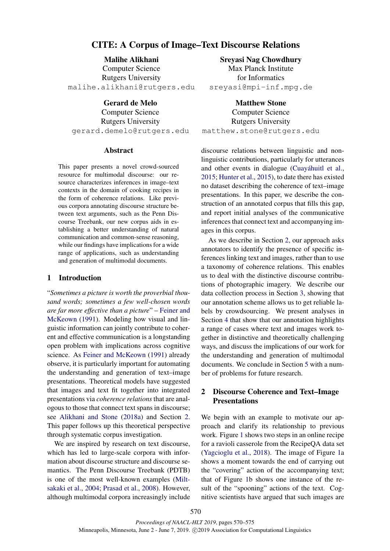# CITE: A Corpus of Image–Text Discourse Relations

Malihe Alikhani Computer Science Rutgers University malihe.alikhani@rutgers.edu

Gerard de Melo

Computer Science Rutgers University gerard.demelo@rutgers.edu

#### Abstract

This paper presents a novel crowd-sourced resource for multimodal discourse: our resource characterizes inferences in image–text contexts in the domain of cooking recipes in the form of coherence relations. Like previous corpora annotating discourse structure between text arguments, such as the Penn Discourse Treebank, our new corpus aids in establishing a better understanding of natural communication and common-sense reasoning, while our findings have implications for a wide range of applications, such as understanding and generation of multimodal documents.

### 1 Introduction

"*Sometimes a picture is worth the proverbial thousand words; sometimes a few well-chosen words are far more effective than a picture*" – [Feiner and](#page-5-0) [McKeown](#page-5-0) [\(1991\)](#page-5-0). Modeling how visual and linguistic information can jointly contribute to coherent and effective communication is a longstanding open problem with implications across cognitive science. As [Feiner and McKeown](#page-5-0) [\(1991\)](#page-5-0) already observe, it is particularly important for automating the understanding and generation of text–image presentations. Theoretical models have suggested that images and text fit together into integrated presentations via *coherence relations* that are analogous to those that connect text spans in discourse; see [Alikhani and Stone](#page-5-1) [\(2018a\)](#page-5-1) and Section [2.](#page-0-0) This paper follows up this theoretical perspective through systematic corpus investigation.

We are inspired by research on text discourse, which has led to large-scale corpora with information about discourse structure and discourse semantics. The Penn Discourse Treebank (PDTB) is one of the most well-known examples [\(Milt](#page-5-2)[sakaki et al.,](#page-5-2) [2004;](#page-5-2) [Prasad et al.,](#page-5-3) [2008\)](#page-5-3). However, although multimodal corpora increasingly include

Sreyasi Nag Chowdhury Max Planck Institute for Informatics sreyasi@mpi-inf.mpg.de

Matthew Stone Computer Science Rutgers University matthew.stone@rutgers.edu

discourse relations between linguistic and nonlinguistic contributions, particularly for utterances and other events in dialogue [\(Cuayáhuitl et al.,](#page-5-4) [2015;](#page-5-4) [Hunter et al.,](#page-5-5) [2015\)](#page-5-5), to date there has existed no dataset describing the coherence of text–image presentations. In this paper, we describe the construction of an annotated corpus that fills this gap, and report initial analyses of the communicative inferences that connect text and accompanying images in this corpus.

As we describe in Section [2,](#page-0-0) our approach asks annotators to identify the presence of specific inferences linking text and images, rather than to use a taxonomy of coherence relations. This enables us to deal with the distinctive discourse contributions of photographic imagery. We describe our data collection process in Section [3,](#page-2-0) showing that our annotation scheme allows us to get reliable labels by crowdsourcing. We present analyses in Section [4](#page-2-1) that show that our annotation highlights a range of cases where text and images work together in distinctive and theoretically challenging ways, and discuss the implications of our work for the understanding and generation of multimodal documents. We conclude in Section [5](#page-4-0) with a number of problems for future research.

## <span id="page-0-0"></span>2 Discourse Coherence and Text–Image Presentations

We begin with an example to motivate our approach and clarify its relationship to previous work. Figure [1](#page-1-0) shows two steps in an online recipe for a ravioli casserole from the RecipeQA data set [\(Yagcioglu et al.,](#page-5-6) [2018\)](#page-5-6). The image of Figure [1a](#page-1-0) shows a moment towards the end of carrying out the "covering" action of the accompanying text; that of Figure [1b](#page-1-0) shows one instance of the result of the "spooning" actions of the text. Cognitive scientists have argued that such images are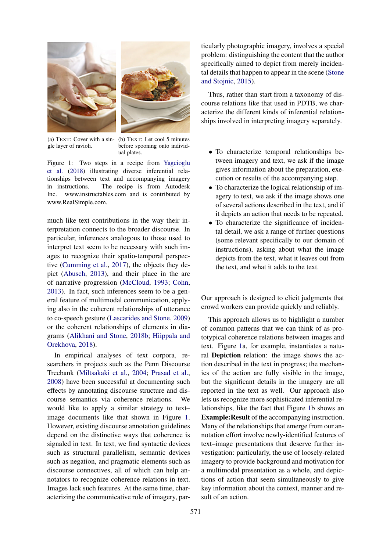<span id="page-1-0"></span>

(a) TEXT: Cover with a single layer of ravioli.

(b) TEXT: Let cool 5 minutes before spooning onto individual plates.

Figure 1: Two steps in a recipe from [Yagcioglu](#page-5-6) [et al.](#page-5-6) [\(2018\)](#page-5-6) illustrating diverse inferential relationships between text and accompanying imagery in instructions. The recipe is from Autodesk Inc. www.instructables.com and is contributed by www.RealSimple.com.

much like text contributions in the way their interpretation connects to the broader discourse. In particular, inferences analogous to those used to interpret text seem to be necessary with such images to recognize their spatio-temporal perspective [\(Cumming et al.,](#page-5-7) [2017\)](#page-5-7), the objects they depict [\(Abusch,](#page-5-8) [2013\)](#page-5-8), and their place in the arc of narrative progression [\(McCloud,](#page-5-9) [1993;](#page-5-9) [Cohn,](#page-5-10) [2013\)](#page-5-10). In fact, such inferences seem to be a general feature of multimodal communication, applying also in the coherent relationships of utterance to co-speech gesture [\(Lascarides and Stone,](#page-5-11) [2009\)](#page-5-11) or the coherent relationships of elements in diagrams [\(Alikhani and Stone,](#page-5-12) [2018b;](#page-5-12) [Hiippala and](#page-5-13) [Orekhova,](#page-5-13) [2018\)](#page-5-13).

In empirical analyses of text corpora, researchers in projects such as the Penn Discourse Treebank [\(Miltsakaki et al.,](#page-5-2) [2004;](#page-5-2) [Prasad et al.,](#page-5-3) [2008\)](#page-5-3) have been successful at documenting such effects by annotating discourse structure and discourse semantics via coherence relations. We would like to apply a similar strategy to text– image documents like that shown in Figure [1.](#page-1-0) However, existing discourse annotation guidelines depend on the distinctive ways that coherence is signaled in text. In text, we find syntactic devices such as structural parallelism, semantic devices such as negation, and pragmatic elements such as discourse connectives, all of which can help annotators to recognize coherence relations in text. Images lack such features. At the same time, characterizing the communicative role of imagery, par-

ticularly photographic imagery, involves a special problem: distinguishing the content that the author specifically aimed to depict from merely incidental details that happen to appear in the scene [\(Stone](#page-5-14) [and Stojnic,](#page-5-14) [2015\)](#page-5-14).

Thus, rather than start from a taxonomy of discourse relations like that used in PDTB, we characterize the different kinds of inferential relationships involved in interpreting imagery separately.

- To characterize temporal relationships between imagery and text, we ask if the image gives information about the preparation, execution or results of the accompanying step.
- To characterize the logical relationship of imagery to text, we ask if the image shows one of several actions described in the text, and if it depicts an action that needs to be repeated.
- To characterize the significance of incidental detail, we ask a range of further questions (some relevant specifically to our domain of instructions), asking about what the image depicts from the text, what it leaves out from the text, and what it adds to the text.

Our approach is designed to elicit judgments that crowd workers can provide quickly and reliably.

This approach allows us to highlight a number of common patterns that we can think of as prototypical coherence relations between images and text. Figure [1a](#page-1-0), for example, instantiates a natural Depiction relation: the image shows the action described in the text in progress; the mechanics of the action are fully visible in the image, but the significant details in the imagery are all reported in the text as well. Our approach also lets us recognize more sophisticated inferential relationships, like the fact that Figure [1b](#page-1-0) shows an Example:Result of the accompanying instruction. Many of the relationships that emerge from our annotation effort involve newly-identified features of text–image presentations that deserve further investigation: particularly, the use of loosely-related imagery to provide background and motivation for a multimodal presentation as a whole, and depictions of action that seem simultaneously to give key information about the context, manner and result of an action.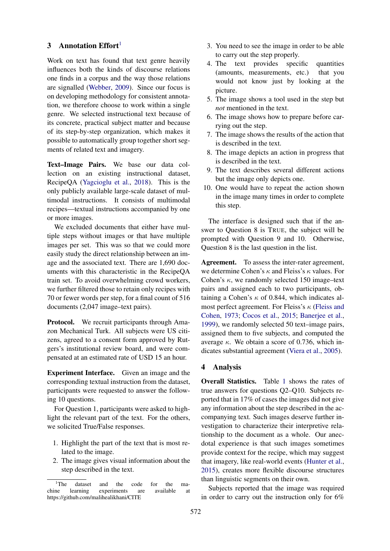#### <span id="page-2-0"></span>3 Annotation  $Effort<sup>1</sup>$  $Effort<sup>1</sup>$  $Effort<sup>1</sup>$

Work on text has found that text genre heavily influences both the kinds of discourse relations one finds in a corpus and the way those relations are signalled [\(Webber,](#page-5-15) [2009\)](#page-5-15). Since our focus is on developing methodology for consistent annotation, we therefore choose to work within a single genre. We selected instructional text because of its concrete, practical subject matter and because of its step-by-step organization, which makes it possible to automatically group together short segments of related text and imagery.

Text–Image Pairs. We base our data collection on an existing instructional dataset, RecipeQA [\(Yagcioglu et al.,](#page-5-6) [2018\)](#page-5-6). This is the only publicly available large-scale dataset of multimodal instructions. It consists of multimodal recipes—textual instructions accompanied by one or more images.

We excluded documents that either have multiple steps without images or that have multiple images per set. This was so that we could more easily study the direct relationship between an image and the associated text. There are 1,690 documents with this characteristic in the RecipeQA train set. To avoid overwhelming crowd workers, we further filtered those to retain only recipes with 70 or fewer words per step, for a final count of 516 documents (2,047 image–text pairs).

Protocol. We recruit participants through Amazon Mechanical Turk. All subjects were US citizens, agreed to a consent form approved by Rutgers's institutional review board, and were compensated at an estimated rate of USD 15 an hour.

Experiment Interface. Given an image and the corresponding textual instruction from the dataset, participants were requested to answer the following 10 questions.

For Question 1, participants were asked to highlight the relevant part of the text. For the others, we solicited True/False responses.

- 1. Highlight the part of the text that is most related to the image.
- 2. The image gives visual information about the step described in the text.
- 3. You need to see the image in order to be able to carry out the step properly.
- 4. The text provides specific quantities (amounts, measurements, etc.) that you would not know just by looking at the picture.
- 5. The image shows a tool used in the step but *not* mentioned in the text.
- 6. The image shows how to prepare before carrying out the step.
- 7. The image shows the results of the action that is described in the text.
- 8. The image depicts an action in progress that is described in the text.
- 9. The text describes several different actions but the image only depicts one.
- 10. One would have to repeat the action shown in the image many times in order to complete this step.

The interface is designed such that if the answer to Question 8 is TRUE, the subject will be prompted with Question 9 and 10. Otherwise, Question 8 is the last question in the list.

Agreement. To assess the inter-rater agreement, we determine Cohen's  $\kappa$  and Fleiss's  $\kappa$  values. For Cohen's  $\kappa$ , we randomly selected 150 image–text pairs and assigned each to two participants, obtaining a Cohen's  $\kappa$  of 0.844, which indicates almost perfect agreement. For Fleiss's  $\kappa$  [\(Fleiss and](#page-5-16) [Cohen,](#page-5-16) [1973;](#page-5-16) [Cocos et al.,](#page-5-17) [2015;](#page-5-17) [Banerjee et al.,](#page-5-18) [1999\)](#page-5-18), we randomly selected 50 text–image pairs, assigned them to five subjects, and computed the average  $\kappa$ . We obtain a score of 0.736, which indicates substantial agreement [\(Viera et al.,](#page-5-19) [2005\)](#page-5-19).

#### <span id="page-2-1"></span>4 Analysis

Overall Statistics. Table [1](#page-3-0) shows the rates of true answers for questions Q2–Q10. Subjects reported that in 17% of cases the images did not give any information about the step described in the accompanying text. Such images deserve further investigation to characterize their interpretive relationship to the document as a whole. Our anecdotal experience is that such images sometimes provide context for the recipe, which may suggest that imagery, like real-world events [\(Hunter et al.,](#page-5-5) [2015\)](#page-5-5), creates more flexible discourse structures than linguistic segments on their own.

Subjects reported that the image was required in order to carry out the instruction only for 6%

<span id="page-2-2"></span><sup>&</sup>lt;sup>1</sup>The dataset and the code for the machine learning experiments are available at https://github.com/malihealikhani/CITE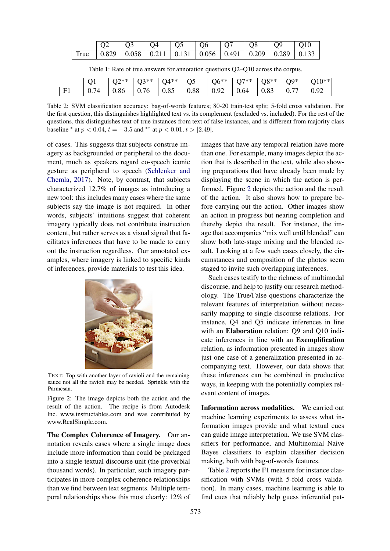<span id="page-3-0"></span>

| True   $0.829$   $0.058$   $0.211$   $0.131$   $0.056$   $0.491$   $0.209$   $0.289$   $0.133$ |  |  |  |  |
|------------------------------------------------------------------------------------------------|--|--|--|--|

Table 1: Rate of true answers for annotation questions Q2–Q10 across the corpus.

<span id="page-3-2"></span>

|            | . .   | いおお  | 72**<br>ີ | $M**$ | $_{\rm O5}$ | $\gamma$ <sub>6</sub> **<br>◡   | ワ**<br>$\tilde{\phantom{a}}$ | 70**<br>◡◡ | $\Omega^*$<br>◡       | 1 V              |
|------------|-------|------|-----------|-------|-------------|---------------------------------|------------------------------|------------|-----------------------|------------------|
| $\Gamma$ 1 | v. 1' | v.oo | 70<br>v., | 0.85  | 0.88        | $\Omega$<br>$\cup \cdot \times$ | 0.64                         | ∪.∪≂       | $-$<br>$\mathsf{U}$ . | $\alpha$<br>0.92 |

Table 2: SVM classification accuracy: bag-of-words features; 80-20 train-test split; 5-fold cross validation. For the first question, this distinguishes highlighted text vs. its complement (excluded vs. included). For the rest of the questions, this distinguishes text of true instances from text of false instances, and is different from majority class baseline \* at  $p < 0.04$ ,  $t = -3.5$  and \*\* at  $p < 0.01$ ,  $t > |2.49|$ .

of cases. This suggests that subjects construe imagery as backgrounded or peripheral to the document, much as speakers regard co-speech iconic gesture as peripheral to speech [\(Schlenker and](#page-5-20) [Chemla,](#page-5-20) [2017\)](#page-5-20). Note, by contrast, that subjects characterized 12.7% of images as introducing a new tool: this includes many cases where the same subjects say the image is not required. In other words, subjects' intuitions suggest that coherent imagery typically does not contribute instruction content, but rather serves as a visual signal that facilitates inferences that have to be made to carry out the instruction regardless. Our annotated examples, where imagery is linked to specific kinds of inferences, provide materials to test this idea.

<span id="page-3-1"></span>

TEXT: Top with another layer of ravioli and the remaining sauce not all the ravioli may be needed. Sprinkle with the Parmesan.

Figure 2: The image depicts both the action and the result of the action. The recipe is from Autodesk Inc. www.instructables.com and was contributed by www.RealSimple.com.

The Complex Coherence of Imagery. Our annotation reveals cases where a single image does include more information than could be packaged into a single textual discourse unit (the proverbial thousand words). In particular, such imagery participates in more complex coherence relationships than we find between text segments. Multiple temporal relationships show this most clearly: 12% of

images that have any temporal relation have more than one. For example, many images depict the action that is described in the text, while also showing preparations that have already been made by displaying the scene in which the action is performed. Figure [2](#page-3-1) depicts the action and the result of the action. It also shows how to prepare before carrying out the action. Other images show an action in progress but nearing completion and thereby depict the result. For instance, the image that accompanies "mix well until blended" can show both late-stage mixing and the blended result. Looking at a few such cases closely, the circumstances and composition of the photos seem staged to invite such overlapping inferences.

Such cases testify to the richness of multimodal discourse, and help to justify our research methodology. The True/False questions characterize the relevant features of interpretation without necessarily mapping to single discourse relations. For instance, Q4 and Q5 indicate inferences in line with an Elaboration relation; Q9 and Q10 indicate inferences in line with an Exemplification relation, as information presented in images show just one case of a generalization presented in accompanying text. However, our data shows that these inferences can be combined in productive ways, in keeping with the potentially complex relevant content of images.

Information across modalities. We carried out machine learning experiments to assess what information images provide and what textual cues can guide image interpretation. We use SVM classifiers for performance, and Multinomial Naive Bayes classifiers to explain classifier decision making, both with bag-of-words features.

Table [2](#page-3-2) reports the F1 measure for instance classification with SVMs (with 5-fold cross validation). In many cases, machine learning is able to find cues that reliably help guess inferential pat-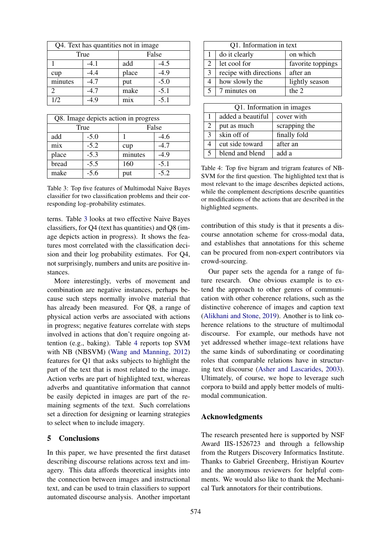<span id="page-4-1"></span>

| Q4. Text has quantities not in image |        |       |        |  |
|--------------------------------------|--------|-------|--------|--|
|                                      | True   | False |        |  |
|                                      | -4.1   | add   | $-4.5$ |  |
| cup                                  | $-4.4$ | place | $-4.9$ |  |
| minutes                              | $-4.7$ | put   | $-5.0$ |  |
|                                      | $-4.7$ | make  | $-5.1$ |  |
| 1/2                                  | .4.9   | mix   | $-5.1$ |  |

| Q8. Image depicts action in progress |        |         |        |  |  |
|--------------------------------------|--------|---------|--------|--|--|
|                                      | True   | False   |        |  |  |
| add                                  | $-5.0$ |         | $-4.6$ |  |  |
| mix                                  | $-5.2$ | cup     | $-4.7$ |  |  |
| place                                | $-5.3$ | minutes | $-4.9$ |  |  |
| bread                                | $-5.5$ | 160     | $-5.1$ |  |  |
| make                                 | $-5.6$ | put     | $-5.2$ |  |  |

Table 3: Top five features of Multimodal Naive Bayes classifier for two classification problems and their corresponding log–probability estimates.

terns. Table [3](#page-4-1) looks at two effective Naive Bayes classifiers, for Q4 (text has quantities) and Q8 (image depicts action in progress). It shows the features most correlated with the classification decision and their log probability estimates. For Q4, not surprisingly, numbers and units are positive instances.

More interestingly, verbs of movement and combination are negative instances, perhaps because such steps normally involve material that has already been measured. For Q8, a range of physical action verbs are associated with actions in progress; negative features correlate with steps involved in actions that don't require ongoing attention (e.g., baking). Table [4](#page-4-2) reports top SVM with NB (NBSVM) [\(Wang and Manning,](#page-5-21) [2012\)](#page-5-21) features for Q1 that asks subjects to highlight the part of the text that is most related to the image. Action verbs are part of highlighted text, whereas adverbs and quantitative information that cannot be easily depicted in images are part of the remaining segments of the text. Such correlations set a direction for designing or learning strategies to select when to include imagery.

#### <span id="page-4-0"></span>5 Conclusions

In this paper, we have presented the first dataset describing discourse relations across text and imagery. This data affords theoretical insights into the connection between images and instructional text, and can be used to train classifiers to support automated discourse analysis. Another important

<span id="page-4-2"></span>

| Q1. Information in text |                        |                   |  |  |  |
|-------------------------|------------------------|-------------------|--|--|--|
|                         | do it clearly          | on which          |  |  |  |
|                         | let cool for           | favorite toppings |  |  |  |
| 3                       | recipe with directions | after an          |  |  |  |
|                         | how slowly the         | lightly season    |  |  |  |
|                         | 7 minutes on           | the $2$           |  |  |  |
|                         |                        |                   |  |  |  |

| Q1. Information in images |                   |               |  |  |  |
|---------------------------|-------------------|---------------|--|--|--|
|                           | added a beautiful | cover with    |  |  |  |
| $\overline{2}$            | put as much       | scrapping the |  |  |  |
| $\mathbf{3}$              | skin off of       | finally fold  |  |  |  |
|                           | cut side toward   | after an      |  |  |  |
| 5                         | blend and blend   | add a         |  |  |  |

Table 4: Top five bigram and trigram features of NB-SVM for the first question. The highlighted text that is most relevant to the image describes depicted actions, while the complement descriptions describe quantities or modifications of the actions that are described in the highlighted segments.

contribution of this study is that it presents a discourse annotation scheme for cross-modal data, and establishes that annotations for this scheme can be procured from non-expert contributors via crowd-sourcing.

Our paper sets the agenda for a range of future research. One obvious example is to extend the approach to other genres of communication with other coherence relations, such as the distinctive coherence of images and caption text [\(Alikhani and Stone,](#page-5-22) [2019\)](#page-5-22). Another is to link coherence relations to the structure of multimodal discourse. For example, our methods have not yet addressed whether image–text relations have the same kinds of subordinating or coordinating roles that comparable relations have in structuring text discourse [\(Asher and Lascarides,](#page-5-23) [2003\)](#page-5-23). Ultimately, of course, we hope to leverage such corpora to build and apply better models of multimodal communication.

#### Acknowledgments

The research presented here is supported by NSF Award IIS-1526723 and through a fellowship from the Rutgers Discovery Informatics Institute. Thanks to Gabriel Greenberg, Hristiyan Kourtev and the anonymous reviewers for helpful comments. We would also like to thank the Mechanical Turk annotators for their contributions.